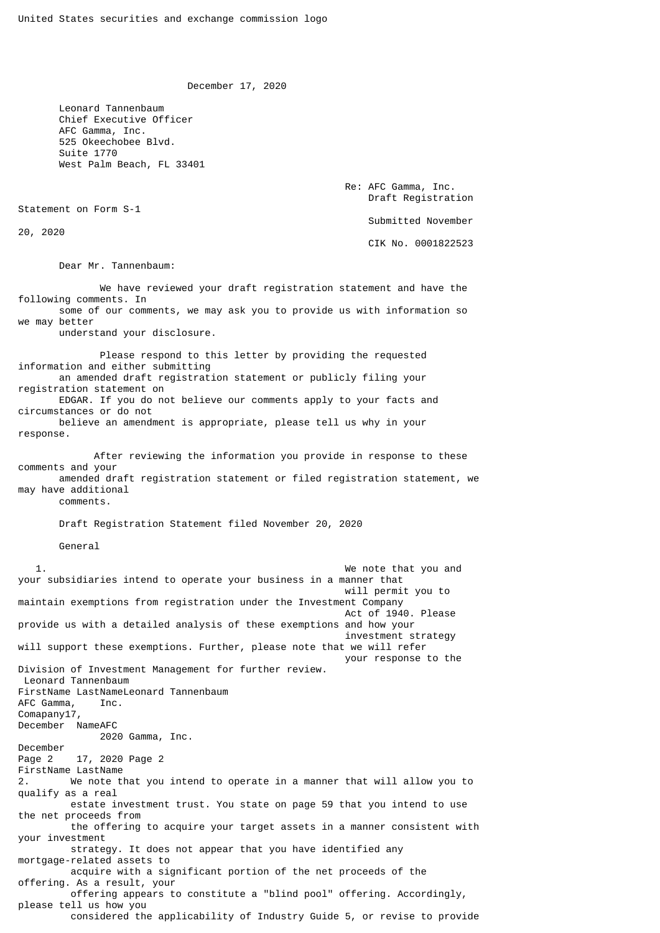December 17, 2020

 Leonard Tannenbaum Chief Executive Officer AFC Gamma, Inc. 525 Okeechobee Blvd. Suite 1770 West Palm Beach, FL 33401

> Re: AFC Gamma, Inc. Draft Registration Submitted November

Statement on Form S-1

20, 2020

CIK No. 0001822523

Dear Mr. Tannenbaum:

 We have reviewed your draft registration statement and have the following comments. In some of our comments, we may ask you to provide us with information so we may better

understand your disclosure.

 Please respond to this letter by providing the requested information and either submitting an amended draft registration statement or publicly filing your registration statement on EDGAR. If you do not believe our comments apply to your facts and circumstances or do not believe an amendment is appropriate, please tell us why in your response.

 After reviewing the information you provide in response to these comments and your amended draft registration statement or filed registration statement, we may have additional comments.

Draft Registration Statement filed November 20, 2020

General

 1. We note that you and your subsidiaries intend to operate your business in a manner that will permit you to maintain exemptions from registration under the Investment Company Act of 1940. Please provide us with a detailed analysis of these exemptions and how your investment strategy will support these exemptions. Further, please note that we will refer your response to the Division of Investment Management for further review. Leonard Tannenbaum FirstName LastNameLeonard Tannenbaum AFC Gamma, Inc. Comapany17, December NameAFC 2020 Gamma, Inc. December<br>Page 2 17, 2020 Page 2 FirstName LastName 2. We note that you intend to operate in a manner that will allow you to qualify as a real estate investment trust. You state on page 59 that you intend to use the net proceeds from the offering to acquire your target assets in a manner consistent with your investment strategy. It does not appear that you have identified any mortgage-related assets to acquire with a significant portion of the net proceeds of the offering. As a result, your offering appears to constitute a "blind pool" offering. Accordingly, please tell us how you considered the applicability of Industry Guide 5, or revise to provide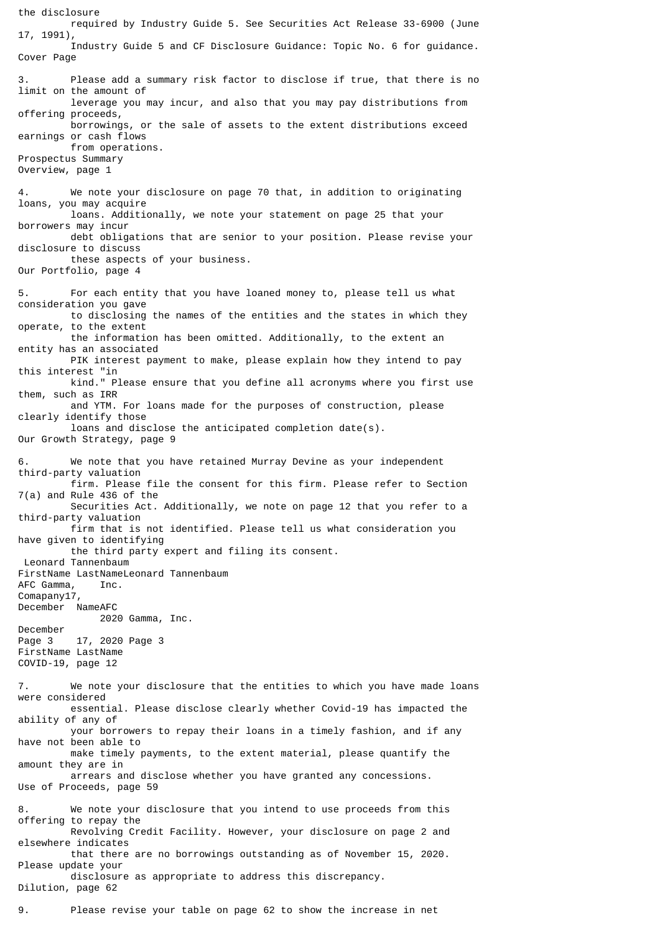the disclosure required by Industry Guide 5. See Securities Act Release 33-6900 (June 17, 1991), Industry Guide 5 and CF Disclosure Guidance: Topic No. 6 for guidance. Cover Page 3. Please add a summary risk factor to disclose if true, that there is no limit on the amount of leverage you may incur, and also that you may pay distributions from offering proceeds, borrowings, or the sale of assets to the extent distributions exceed earnings or cash flows from operations. Prospectus Summary Overview, page 1 4. We note your disclosure on page 70 that, in addition to originating loans, you may acquire loans. Additionally, we note your statement on page 25 that your borrowers may incur debt obligations that are senior to your position. Please revise your disclosure to discuss these aspects of your business. Our Portfolio, page 4 5. For each entity that you have loaned money to, please tell us what consideration you gave to disclosing the names of the entities and the states in which they operate, to the extent the information has been omitted. Additionally, to the extent an entity has an associated PIK interest payment to make, please explain how they intend to pay this interest "in kind." Please ensure that you define all acronyms where you first use them, such as IRR and YTM. For loans made for the purposes of construction, please clearly identify those loans and disclose the anticipated completion date(s). Our Growth Strategy, page 9 6. We note that you have retained Murray Devine as your independent third-party valuation firm. Please file the consent for this firm. Please refer to Section 7(a) and Rule 436 of the Securities Act. Additionally, we note on page 12 that you refer to a third-party valuation firm that is not identified. Please tell us what consideration you have given to identifying the third party expert and filing its consent. Leonard Tannenbaum FirstName LastNameLeonard Tannenbaum AFC Gamma, Inc. Comapany17, December NameAFC 2020 Gamma, Inc. December Page 3 17, 2020 Page 3 FirstName LastName COVID-19, page 12 7. We note your disclosure that the entities to which you have made loans were considered essential. Please disclose clearly whether Covid-19 has impacted the ability of any of your borrowers to repay their loans in a timely fashion, and if any have not been able to make timely payments, to the extent material, please quantify the amount they are in arrears and disclose whether you have granted any concessions. Use of Proceeds, page 59 8. We note your disclosure that you intend to use proceeds from this offering to repay the Revolving Credit Facility. However, your disclosure on page 2 and elsewhere indicates that there are no borrowings outstanding as of November 15, 2020. Please update your disclosure as appropriate to address this discrepancy. Dilution, page 62

9. Please revise your table on page 62 to show the increase in net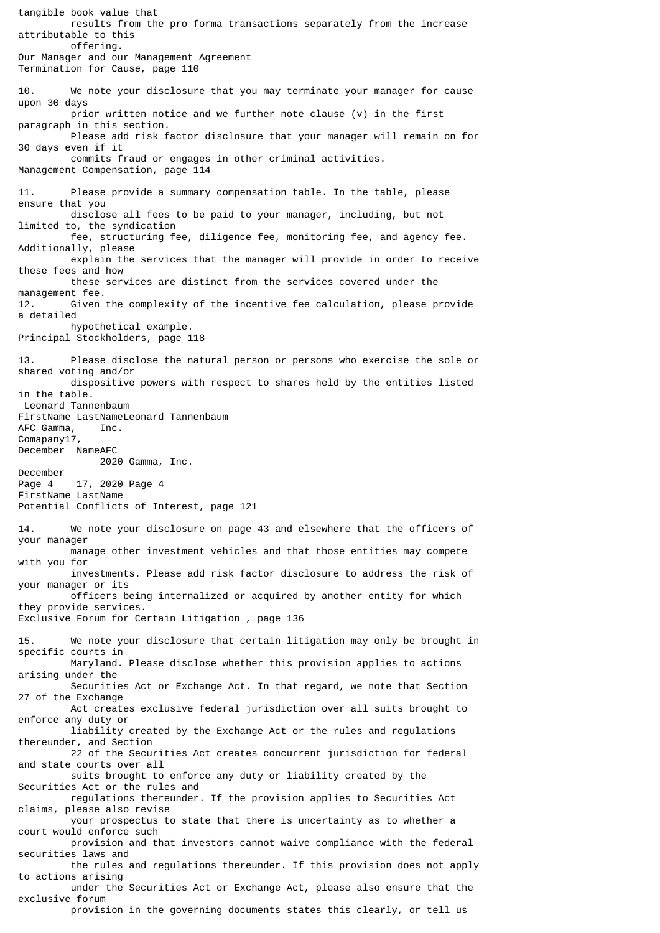tangible book value that results from the pro forma transactions separately from the increase attributable to this offering. Our Manager and our Management Agreement Termination for Cause, page 110 10. We note your disclosure that you may terminate your manager for cause upon 30 days prior written notice and we further note clause (v) in the first paragraph in this section. Please add risk factor disclosure that your manager will remain on for 30 days even if it commits fraud or engages in other criminal activities. Management Compensation, page 114 11. Please provide a summary compensation table. In the table, please ensure that you disclose all fees to be paid to your manager, including, but not limited to, the syndication fee, structuring fee, diligence fee, monitoring fee, and agency fee. Additionally, please explain the services that the manager will provide in order to receive these fees and how these services are distinct from the services covered under the management fee. 12. Given the complexity of the incentive fee calculation, please provide a detailed hypothetical example. Principal Stockholders, page 118 13. Please disclose the natural person or persons who exercise the sole or shared voting and/or dispositive powers with respect to shares held by the entities listed in the table. Leonard Tannenbaum FirstName LastNameLeonard Tannenbaum AFC Gamma, Inc. Comapany17, December NameAFC 2020 Gamma, Inc. December Page 4 17, 2020 Page 4 FirstName LastName Potential Conflicts of Interest, page 121 14. We note your disclosure on page 43 and elsewhere that the officers of your manager manage other investment vehicles and that those entities may compete with you for investments. Please add risk factor disclosure to address the risk of your manager or its officers being internalized or acquired by another entity for which they provide services. Exclusive Forum for Certain Litigation , page 136 15. We note your disclosure that certain litigation may only be brought in specific courts in Maryland. Please disclose whether this provision applies to actions arising under the Securities Act or Exchange Act. In that regard, we note that Section 27 of the Exchange Act creates exclusive federal jurisdiction over all suits brought to enforce any duty or liability created by the Exchange Act or the rules and regulations thereunder, and Section 22 of the Securities Act creates concurrent jurisdiction for federal and state courts over all suits brought to enforce any duty or liability created by the Securities Act or the rules and regulations thereunder. If the provision applies to Securities Act claims, please also revise your prospectus to state that there is uncertainty as to whether a court would enforce such provision and that investors cannot waive compliance with the federal securities laws and the rules and regulations thereunder. If this provision does not apply to actions arising under the Securities Act or Exchange Act, please also ensure that the exclusive forum

provision in the governing documents states this clearly, or tell us